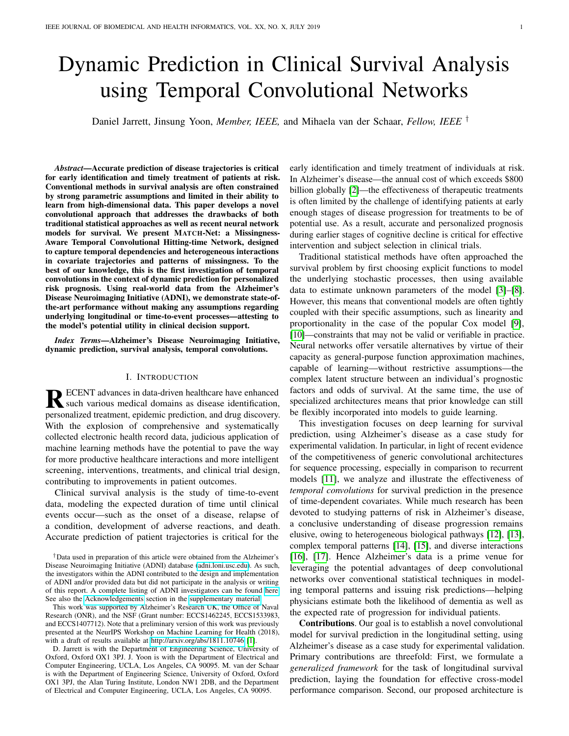# Dynamic Prediction in Clinical Survival Analysis using Temporal Convolutional Networks

Daniel Jarrett, Jinsung Yoon, *Member, IEEE,* and Mihaela van der Schaar, *Fellow, IEEE* †

*Abstract*—Accurate prediction of disease trajectories is critical for early identification and timely treatment of patients at risk. Conventional methods in survival analysis are often constrained by strong parametric assumptions and limited in their ability to learn from high-dimensional data. This paper develops a novel convolutional approach that addresses the drawbacks of both traditional statistical approaches as well as recent neural network models for survival. We present MATCH-Net: a Missingness-Aware Temporal Convolutional Hitting-time Network, designed to capture temporal dependencies and heterogeneous interactions in covariate trajectories and patterns of missingness. To the best of our knowledge, this is the first investigation of temporal convolutions in the context of dynamic prediction for personalized risk prognosis. Using real-world data from the Alzheimer's Disease Neuroimaging Initiative (ADNI), we demonstrate state-ofthe-art performance without making any assumptions regarding underlying longitudinal or time-to-event processes—attesting to the model's potential utility in clinical decision support.

*Index Terms*—Alzheimer's Disease Neuroimaging Initiative, dynamic prediction, survival analysis, temporal convolutions.

## I. INTRODUCTION

RECENT advances in data-driven healthcare have enhanced<br>such various medical domains as disease identification, such various medical domains as disease identification, personalized treatment, epidemic prediction, and drug discovery. With the explosion of comprehensive and systematically collected electronic health record data, judicious application of machine learning methods have the potential to pave the way for more productive healthcare interactions and more intelligent screening, interventions, treatments, and clinical trial design, contributing to improvements in patient outcomes.

Clinical survival analysis is the study of time-to-event data, modeling the expected duration of time until clinical events occur—such as the onset of a disease, relapse of a condition, development of adverse reactions, and death. Accurate prediction of patient trajectories is critical for the

This work was supported by Alzheimer's Research UK, the Office of Naval Research (ONR), and the NSF (Grant number: ECCS1462245, ECCS1533983, and ECCS1407712). Note that a preliminary version of this work was previously presented at the NeurIPS Workshop on Machine Learning for Health (2018), with a draft of results available at<http://arxiv.org/abs/1811.10746> [\[1\]](#page-10-0).

D. Jarrett is with the Department of Engineering Science, University of Oxford, Oxford OX1 3PJ. J. Yoon is with the Department of Electrical and Computer Engineering, UCLA, Los Angeles, CA 90095. M. van der Schaar is with the Department of Engineering Science, University of Oxford, Oxford OX1 3PJ, the Alan Turing Institute, London NW1 2DB, and the Department of Electrical and Computer Engineering, UCLA, Los Angeles, CA 90095.

early identification and timely treatment of individuals at risk. In Alzheimer's disease—the annual cost of which exceeds \$800 billion globally [\[2\]](#page-10-1)—the effectiveness of therapeutic treatments is often limited by the challenge of identifying patients at early enough stages of disease progression for treatments to be of potential use. As a result, accurate and personalized prognosis during earlier stages of cognitive decline is critical for effective intervention and subject selection in clinical trials.

Traditional statistical methods have often approached the survival problem by first choosing explicit functions to model the underlying stochastic processes, then using available data to estimate unknown parameters of the model [\[3\]](#page-10-2)–[\[8\]](#page-10-3). However, this means that conventional models are often tightly coupled with their specific assumptions, such as linearity and proportionality in the case of the popular Cox model [\[9\]](#page-10-4), [\[10\]](#page-10-5)—constraints that may not be valid or verifiable in practice. Neural networks offer versatile alternatives by virtue of their capacity as general-purpose function approximation machines, capable of learning—without restrictive assumptions—the complex latent structure between an individual's prognostic factors and odds of survival. At the same time, the use of specialized architectures means that prior knowledge can still be flexibly incorporated into models to guide learning.

This investigation focuses on deep learning for survival prediction, using Alzheimer's disease as a case study for experimental validation. In particular, in light of recent evidence of the competitiveness of generic convolutional architectures for sequence processing, especially in comparison to recurrent models [\[11\]](#page-10-6), we analyze and illustrate the effectiveness of *temporal convolutions* for survival prediction in the presence of time-dependent covariates. While much research has been devoted to studying patterns of risk in Alzheimer's disease, a conclusive understanding of disease progression remains elusive, owing to heterogeneous biological pathways [\[12\]](#page-10-7), [\[13\]](#page-10-8), complex temporal patterns [\[14\]](#page-10-9), [\[15\]](#page-10-10), and diverse interactions [\[16\]](#page-10-11), [\[17\]](#page-10-12). Hence Alzheimer's data is a prime venue for leveraging the potential advantages of deep convolutional networks over conventional statistical techniques in modeling temporal patterns and issuing risk predictions—helping physicians estimate both the likelihood of dementia as well as the expected rate of progression for individual patients.

Contributions. Our goal is to establish a novel convolutional model for survival prediction in the longitudinal setting, using Alzheimer's disease as a case study for experimental validation. Primary contributions are threefold: First, we formulate a *generalized framework* for the task of longitudinal survival prediction, laying the foundation for effective cross-model performance comparison. Second, our proposed architecture is

<sup>†</sup>Data used in preparation of this article were obtained from the Alzheimer's Disease Neuroimaging Initiative (ADNI) database [\(adni.loni.usc.edu\)](http://adni.loni.usc.edu). As such, the investigators within the ADNI contributed to the design and implementation of ADNI and/or provided data but did not participate in the analysis or writing of this report. A complete listing of ADNI investigators can be found [here.](http://adni.loni.usc.edu/wp-content/uploads/how_to_apply/ADNI_Acknowledgement_List.pdf) See also the [Acknowledgements](http://columbia.edu/~dkc2122/jbhi/supplementary.pdf) section in the [supplementary material.](http://columbia.edu/~dkc2122/jbhi/supplementary.pdf)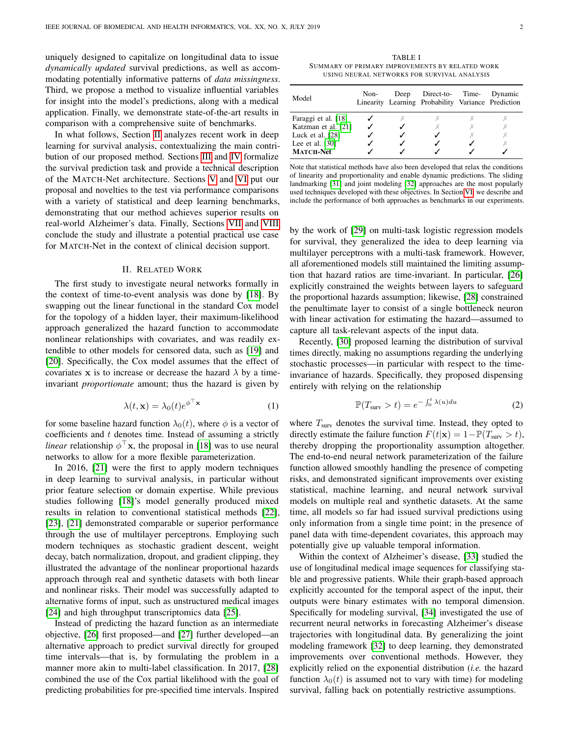uniquely designed to capitalize on longitudinal data to issue *dynamically updated* survival predictions, as well as accommodating potentially informative patterns of *data missingness*. Third, we propose a method to visualize influential variables for insight into the model's predictions, along with a medical application. Finally, we demonstrate state-of-the-art results in comparison with a comprehensive suite of benchmarks.

In what follows, Section [II](#page-1-0) analyzes recent work in deep learning for survival analysis, contextualizing the main contribution of our proposed method. Sections [III](#page-2-0) and [IV](#page-2-1) formalize the survival prediction task and provide a technical description of the MATCH-Net architecture. Sections [V](#page-4-0) and [VI](#page-5-0) put our proposal and novelties to the test via performance comparisons with a variety of statistical and deep learning benchmarks, demonstrating that our method achieves superior results on real-world Alzheimer's data. Finally, Sections [VII](#page-9-0) and [VIII](#page-10-13) conclude the study and illustrate a potential practical use case for MATCH-Net in the context of clinical decision support.

#### II. RELATED WORK

<span id="page-1-0"></span>The first study to investigate neural networks formally in the context of time-to-event analysis was done by [\[18\]](#page-10-14). By swapping out the linear functional in the standard Cox model for the topology of a hidden layer, their maximum-likelihood approach generalized the hazard function to accommodate nonlinear relationships with covariates, and was readily extendible to other models for censored data, such as [\[19\]](#page-10-15) and [\[20\]](#page-10-16). Specifically, the Cox model assumes that the effect of covariates x is to increase or decrease the hazard  $\lambda$  by a timeinvariant *proportionate* amount; thus the hazard is given by

$$
\lambda(t, \mathbf{x}) = \lambda_0(t) e^{\phi^\top \mathbf{x}} \tag{1}
$$

for some baseline hazard function  $\lambda_0(t)$ , where  $\phi$  is a vector of coefficients and  $t$  denotes time. Instead of assuming a strictly *linear* relationship  $\phi^{\top}$ **x**, the proposal in [\[18\]](#page-10-14) was to use neural networks to allow for a more flexible parameterization.

In 2016, [\[21\]](#page-10-17) were the first to apply modern techniques in deep learning to survival analysis, in particular without prior feature selection or domain expertise. While previous studies following [\[18\]](#page-10-14)'s model generally produced mixed results in relation to conventional statistical methods [\[22\]](#page-10-18), [\[23\]](#page-11-0), [\[21\]](#page-10-17) demonstrated comparable or superior performance through the use of multilayer perceptrons. Employing such modern techniques as stochastic gradient descent, weight decay, batch normalization, dropout, and gradient clipping, they illustrated the advantage of the nonlinear proportional hazards approach through real and synthetic datasets with both linear and nonlinear risks. Their model was successfully adapted to alternative forms of input, such as unstructured medical images [\[24\]](#page-11-1) and high throughput transcriptomics data [\[25\]](#page-11-2).

Instead of predicting the hazard function as an intermediate objective, [\[26\]](#page-11-3) first proposed—and [\[27\]](#page-11-4) further developed—an alternative approach to predict survival directly for grouped time intervals—that is, by formulating the problem in a manner more akin to multi-label classification. In 2017, [\[28\]](#page-11-5) combined the use of the Cox partial likelihood with the goal of predicting probabilities for pre-specified time intervals. Inspired

<span id="page-1-1"></span>TABLE I SUMMARY OF PRIMARY IMPROVEMENTS BY RELATED WORK USING NEURAL NETWORKS FOR SURVIVAL ANALYSIS

| Model               | Non- | Deep | Direct-to- Time-<br>Linearity Learning Probability Variance Prediction | Dynamic |
|---------------------|------|------|------------------------------------------------------------------------|---------|
| Faraggi et al. [18] |      |      |                                                                        |         |
| Katzman et al. [21] |      |      |                                                                        |         |
| Luck et al. [28]    |      |      |                                                                        |         |
| Lee et al. $[30]$   |      |      |                                                                        |         |
| <b>MATCH-Net</b>    |      |      |                                                                        |         |

Note that statistical methods have also been developed that relax the conditions of linearity and proportionality and enable dynamic predictions. The sliding landmarking [\[31\]](#page-11-7) and joint modeling [\[32\]](#page-11-8) approaches are the most popularly used techniques developed with these objectives. In Section [VI,](#page-5-0) we describe and include the performance of both approaches as benchmarks in our experiments.

by the work of [\[29\]](#page-11-9) on multi-task logistic regression models for survival, they generalized the idea to deep learning via multilayer perceptrons with a multi-task framework. However, all aforementioned models still maintained the limiting assumption that hazard ratios are time-invariant. In particular, [\[26\]](#page-11-3) explicitly constrained the weights between layers to safeguard the proportional hazards assumption; likewise, [\[28\]](#page-11-5) constrained the penultimate layer to consist of a single bottleneck neuron with linear activation for estimating the hazard—assumed to capture all task-relevant aspects of the input data.

Recently, [\[30\]](#page-11-6) proposed learning the distribution of survival times directly, making no assumptions regarding the underlying stochastic processes—in particular with respect to the timeinvariance of hazards. Specifically, they proposed dispensing entirely with relying on the relationship

$$
\mathbb{P}(T_{\text{surv}} > t) = e^{-\int_0^t \lambda(u) du} \tag{2}
$$

where  $T<sub>surv</sub>$  denotes the survival time. Instead, they opted to directly estimate the failure function  $F(t|\mathbf{x}) = 1 - \mathbb{P}(T_{\text{surv}} > t)$ , thereby dropping the proportionality assumption altogether. The end-to-end neural network parameterization of the failure function allowed smoothly handling the presence of competing risks, and demonstrated significant improvements over existing statistical, machine learning, and neural network survival models on multiple real and synthetic datasets. At the same time, all models so far had issued survival predictions using only information from a single time point; in the presence of panel data with time-dependent covariates, this approach may potentially give up valuable temporal information.

Within the context of Alzheimer's disease, [\[33\]](#page-11-10) studied the use of longitudinal medical image sequences for classifying stable and progressive patients. While their graph-based approach explicitly accounted for the temporal aspect of the input, their outputs were binary estimates with no temporal dimension. Specifically for modeling survival, [\[34\]](#page-11-11) investigated the use of recurrent neural networks in forecasting Alzheimer's disease trajectories with longitudinal data. By generalizing the joint modeling framework [\[32\]](#page-11-8) to deep learning, they demonstrated improvements over conventional methods. However, they explicitly relied on the exponential distribution (*i.e.* the hazard function  $\lambda_0(t)$  is assumed not to vary with time) for modeling survival, falling back on potentially restrictive assumptions.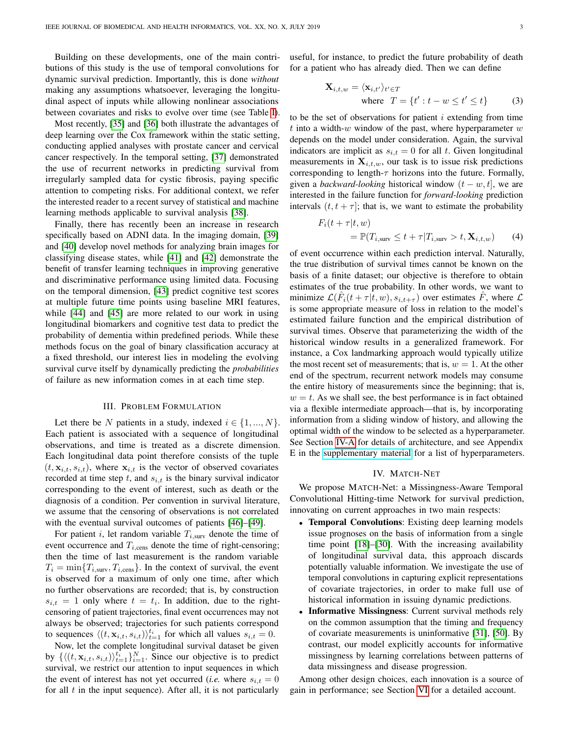Building on these developments, one of the main contributions of this study is the use of temporal convolutions for dynamic survival prediction. Importantly, this is done *without* making any assumptions whatsoever, leveraging the longitudinal aspect of inputs while allowing nonlinear associations between covariates and risks to evolve over time (see Table [I\)](#page-1-1).

Most recently, [\[35\]](#page-11-12) and [\[36\]](#page-11-13) both illustrate the advantages of deep learning over the Cox framework within the static setting, conducting applied analyses with prostate cancer and cervical cancer respectively. In the temporal setting, [\[37\]](#page-11-14) demonstrated the use of recurrent networks in predicting survival from irregularly sampled data for cystic fibrosis, paying specific attention to competing risks. For additional context, we refer the interested reader to a recent survey of statistical and machine learning methods applicable to survival analysis [\[38\]](#page-11-15).

Finally, there has recently been an increase in research specifically based on ADNI data. In the imaging domain, [\[39\]](#page-11-16) and [\[40\]](#page-11-17) develop novel methods for analyzing brain images for classifying disease states, while [\[41\]](#page-11-18) and [\[42\]](#page-11-19) demonstrate the benefit of transfer learning techniques in improving generative and discriminative performance using limited data. Focusing on the temporal dimension, [\[43\]](#page-11-20) predict cognitive test scores at multiple future time points using baseline MRI features, while [\[44\]](#page-11-21) and [\[45\]](#page-11-22) are more related to our work in using longitudinal biomarkers and cognitive test data to predict the probability of dementia within predefined periods. While these methods focus on the goal of binary classification accuracy at a fixed threshold, our interest lies in modeling the evolving survival curve itself by dynamically predicting the *probabilities* of failure as new information comes in at each time step.

#### III. PROBLEM FORMULATION

<span id="page-2-0"></span>Let there be N patients in a study, indexed  $i \in \{1, ..., N\}$ . Each patient is associated with a sequence of longitudinal observations, and time is treated as a discrete dimension. Each longitudinal data point therefore consists of the tuple  $(t, \mathbf{x}_{i,t}, s_{i,t})$ , where  $\mathbf{x}_{i,t}$  is the vector of observed covariates recorded at time step  $t$ , and  $s_{i,t}$  is the binary survival indicator corresponding to the event of interest, such as death or the diagnosis of a condition. Per convention in survival literature, we assume that the censoring of observations is not correlated with the eventual survival outcomes of patients [\[46\]](#page-11-23)–[\[49\]](#page-11-24).

For patient i, let random variable  $T_{i, \text{surv}}$  denote the time of event occurrence and  $T_{i,\text{cens}}$  denote the time of right-censoring; then the time of last measurement is the random variable  $T_i = \min\{T_{i,\text{surv}}, T_{i,\text{cens}}\}$ . In the context of survival, the event is observed for a maximum of only one time, after which no further observations are recorded; that is, by construction  $s_{i,t} = 1$  only where  $t = t_i$ . In addition, due to the rightcensoring of patient trajectories, final event occurrences may not always be observed; trajectories for such patients correspond to sequences  $\langle (t, \mathbf{x}_{i,t}, s_{i,t}) \rangle_{t=1}^{t_i}$  for which all values  $s_{i,t} = 0$ .

Now, let the complete longitudinal survival dataset be given by  $\{ \langle (t, \mathbf{x}_{i,t}, s_{i,t}) \rangle_{t=1}^{t_i} \}_{i=1}^N$ . Since our objective is to predict survival, we restrict our attention to input sequences in which the event of interest has not yet occurred (*i.e.* where  $s_{i,t} = 0$ for all  $t$  in the input sequence). After all, it is not particularly useful, for instance, to predict the future probability of death for a patient who has already died. Then we can define

$$
\mathbf{X}_{i,t,w} = \langle \mathbf{x}_{i,t'} \rangle_{t' \in T}
$$
  
where  $T = \{t' : t - w \le t' \le t\}$  (3)

to be the set of observations for patient  $i$  extending from time t into a width-w window of the past, where hyperparameter  $w$ depends on the model under consideration. Again, the survival indicators are implicit as  $s_{i,t} = 0$  for all t. Given longitudinal measurements in  $X_{i,t,w}$ , our task is to issue risk predictions corresponding to length- $\tau$  horizons into the future. Formally, given a *backward-looking* historical window  $(t - w, t]$ , we are interested in the failure function for *forward-looking* prediction intervals  $(t, t + \tau]$ ; that is, we want to estimate the probability

$$
F_i(t + \tau | t, w)
$$
  
=  $\mathbb{P}(T_{i, \text{surv}} \le t + \tau | T_{i, \text{surv}} > t, \mathbf{X}_{i, t, w})$  (4)

of event occurrence within each prediction interval. Naturally, the true distribution of survival times cannot be known on the basis of a finite dataset; our objective is therefore to obtain estimates of the true probability. In other words, we want to minimize  $\mathcal{L}(\hat{F}_i(t+\tau|\vec{t},w), s_{i,t+\tau})$  over estimates  $\hat{F}$ , where  $\mathcal{L}$ is some appropriate measure of loss in relation to the model's estimated failure function and the empirical distribution of survival times. Observe that parameterizing the width of the historical window results in a generalized framework. For instance, a Cox landmarking approach would typically utilize the most recent set of measurements; that is,  $w = 1$ . At the other end of the spectrum, recurrent network models may consume the entire history of measurements since the beginning; that is,  $w = t$ . As we shall see, the best performance is in fact obtained via a flexible intermediate approach—that is, by incorporating information from a sliding window of history, and allowing the optimal width of the window to be selected as a hyperparameter. See Section [IV-A](#page-3-0) for details of architecture, and see Appendix E in the [supplementary material](http://columbia.edu/~dkc2122/jbhi/supplementary.pdf) for a list of hyperparameters.

## IV. MATCH-NET

<span id="page-2-1"></span>We propose MATCH-Net: a Missingness-Aware Temporal Convolutional Hitting-time Network for survival prediction, innovating on current approaches in two main respects:

- Temporal Convolutions: Existing deep learning models issue prognoses on the basis of information from a single time point [\[18\]](#page-10-14)–[\[30\]](#page-11-6). With the increasing availability of longitudinal survival data, this approach discards potentially valuable information. We investigate the use of temporal convolutions in capturing explicit representations of covariate trajectories, in order to make full use of historical information in issuing dynamic predictions.
- **Informative Missingness:** Current survival methods rely on the common assumption that the timing and frequency of covariate measurements is uninformative [\[31\]](#page-11-7), [\[50\]](#page-11-25). By contrast, our model explicitly accounts for informative missingness by learning correlations between patterns of data missingness and disease progression.

Among other design choices, each innovation is a source of gain in performance; see Section [VI](#page-5-0) for a detailed account.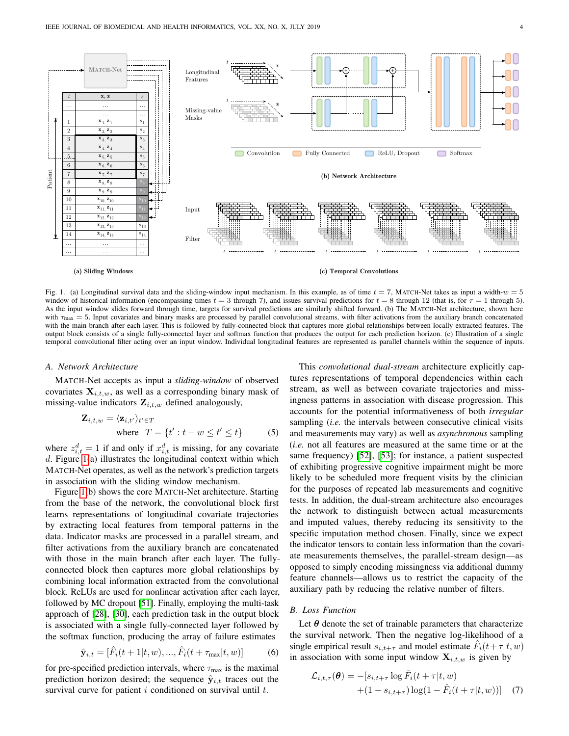

<span id="page-3-1"></span>Fig. 1. (a) Longitudinal survival data and the sliding-window input mechanism. In this example, as of time  $t = 7$ , MATCH-Net takes as input a width- $w = 5$ window of historical information (encompassing times  $t = 3$  through 7), and issues survival predictions for  $t = 8$  through 12 (that is, for  $\tau = 1$  through 5). As the input window slides forward through time, targets for survival predictions are similarly shifted forward. (b) The MATCH-Net architecture, shown here with  $\tau_{\text{max}} = 5$ . Input covariates and binary masks are processed by parallel convolutional streams, with filter activations from the auxiliary branch concatenated with the main branch after each layer. This is followed by fully-connected block that captures more global relationships between locally extracted features. The output block consists of a single fully-connected layer and softmax function that produces the output for each prediction horizon. (c) Illustration of a single temporal convolutional filter acting over an input window. Individual longitudinal features are represented as parallel channels within the sequence of inputs.

# <span id="page-3-0"></span>*A. Network Architecture*

MATCH-Net accepts as input a *sliding-window* of observed covariates  $X_{i,t,w}$ , as well as a corresponding binary mask of missing-value indicators  $\mathbf{Z}_{i,t,w}$  defined analogously,

$$
\mathbf{Z}_{i,t,w} = \langle \mathbf{z}_{i,t'} \rangle_{t' \in T}
$$
  
where  $T = \{t' : t - w \le t' \le t\}$  (5)

where  $z_{i,t}^d = 1$  if and only if  $x_{i,t}^d$  is missing, for any covariate  $d$ . Figure [1\(](#page-3-1)a) illustrates the longitudinal context within which MATCH-Net operates, as well as the network's prediction targets in association with the sliding window mechanism.

Figure [1\(](#page-3-1)b) shows the core MATCH-Net architecture. Starting from the base of the network, the convolutional block first learns representations of longitudinal covariate trajectories by extracting local features from temporal patterns in the data. Indicator masks are processed in a parallel stream, and filter activations from the auxiliary branch are concatenated with those in the main branch after each layer. The fullyconnected block then captures more global relationships by combining local information extracted from the convolutional block. ReLUs are used for nonlinear activation after each layer, followed by MC dropout [\[51\]](#page-11-26). Finally, employing the multi-task approach of [\[28\]](#page-11-5), [\[30\]](#page-11-6), each prediction task in the output block is associated with a single fully-connected layer followed by the softmax function, producing the array of failure estimates

$$
\hat{\mathbf{y}}_{i,t} = [\hat{F}_i(t+1|t,w), ..., \hat{F}_i(t+\tau_{\text{max}}|t,w)] \tag{6}
$$

for pre-specified prediction intervals, where  $\tau_{\text{max}}$  is the maximal prediction horizon desired; the sequence  $\hat{\mathbf{y}}_{i,t}$  traces out the survival curve for patient  $i$  conditioned on survival until  $t$ .

This *convolutional dual-stream* architecture explicitly captures representations of temporal dependencies within each stream, as well as between covariate trajectories and missingness patterns in association with disease progression. This accounts for the potential informativeness of both *irregular* sampling (*i.e.* the intervals between consecutive clinical visits and measurements may vary) as well as *asynchronous* sampling (*i.e.* not all features are measured at the same time or at the same frequency) [\[52\]](#page-11-27), [\[53\]](#page-11-28); for instance, a patient suspected of exhibiting progressive cognitive impairment might be more likely to be scheduled more frequent visits by the clinician for the purposes of repeated lab measurements and cognitive tests. In addition, the dual-stream architecture also encourages the network to distinguish between actual measurements and imputed values, thereby reducing its sensitivity to the specific imputation method chosen. Finally, since we expect the indicator tensors to contain less information than the covariate measurements themselves, the parallel-stream design—as opposed to simply encoding missingness via additional dummy feature channels—allows us to restrict the capacity of the auxiliary path by reducing the relative number of filters.

#### *B. Loss Function*

Let  $\theta$  denote the set of trainable parameters that characterize the survival network. Then the negative log-likelihood of a single empirical result  $s_{i,t+\tau}$  and model estimate  $\hat{F}_i(t+\tau|t,w)$ in association with some input window  $X_{i,t,w}$  is given by

$$
\mathcal{L}_{i,t,\tau}(\boldsymbol{\theta}) = -[s_{i,t+\tau} \log \hat{F}_i(t+\tau|t,w) +(1-s_{i,t+\tau}) \log(1-\hat{F}_i(t+\tau|t,w))]
$$
(7)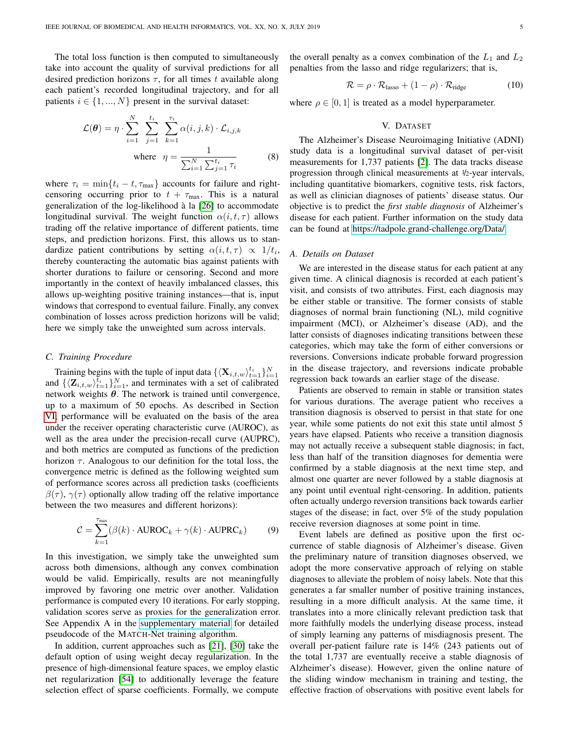The total loss function is then computed to simultaneously take into account the quality of survival predictions for all desired prediction horizons  $\tau$ , for all times t available along each patient's recorded longitudinal trajectory, and for all patients  $i \in \{1, ..., N\}$  present in the survival dataset:

$$
\mathcal{L}(\boldsymbol{\theta}) = \eta \cdot \sum_{i=1}^{N} \sum_{j=1}^{t_i} \sum_{k=1}^{\tau_i} \alpha(i, j, k) \cdot \mathcal{L}_{i, j, k}
$$
  
where 
$$
\eta = \frac{1}{\sum_{i=1}^{N} \sum_{j=1}^{t_i} \tau_i}
$$
 (8)

where  $\tau_i = \min\{t_i - t, \tau_{\text{max}}\}\)$  accounts for failure and rightcensoring occurring prior to  $t + \tau_{\text{max}}$ . This is a natural generalization of the log-likelihood à la [\[26\]](#page-11-3) to accommodate longitudinal survival. The weight function  $\alpha(i, t, \tau)$  allows trading off the relative importance of different patients, time steps, and prediction horizons. First, this allows us to standardize patient contributions by setting  $\alpha(i, t, \tau) \propto 1/t_i$ , thereby counteracting the automatic bias against patients with shorter durations to failure or censoring. Second and more importantly in the context of heavily imbalanced classes, this allows up-weighting positive training instances—that is, input windows that correspond to eventual failure. Finally, any convex combination of losses across prediction horizons will be valid; here we simply take the unweighted sum across intervals.

### *C. Training Procedure*

Training begins with the tuple of input data  $\{\langle \mathbf{X}_{i,t,w} \rangle_{t=1}^{t_i} \}_{i=1}^N$ and  $\{\langle \mathbf{Z}_{i,t,w} \rangle_{t=1}^{\bar{t}_i} \}_{i=1}^N$ , and terminates with a set of calibrated network weights  $\theta$ . The network is trained until convergence, up to a maximum of 50 epochs. As described in Section [VI,](#page-5-0) performance will be evaluated on the basis of the area under the receiver operating characteristic curve (AUROC), as well as the area under the precision-recall curve (AUPRC), and both metrics are computed as functions of the prediction horizon  $\tau$ . Analogous to our definition for the total loss, the convergence metric is defined as the following weighted sum of performance scores across all prediction tasks (coefficients  $\beta(\tau)$ ,  $\gamma(\tau)$  optionally allow trading off the relative importance between the two measures and different horizons):

$$
\mathcal{C} = \sum_{k=1}^{\tau_{\text{max}}} (\beta(k) \cdot \text{AUROC}_k + \gamma(k) \cdot \text{AUPRC}_k)
$$
(9)

In this investigation, we simply take the unweighted sum across both dimensions, although any convex combination would be valid. Empirically, results are not meaningfully improved by favoring one metric over another. Validation performance is computed every 10 iterations. For early stopping, validation scores serve as proxies for the generalization error. See Appendix A in the [supplementary material](http://columbia.edu/~dkc2122/jbhi/supplementary.pdf) for detailed pseudocode of the MATCH-Net training algorithm.

In addition, current approaches such as [\[21\]](#page-10-17), [\[30\]](#page-11-6) take the default option of using weight decay regularization. In the presence of high-dimensional feature spaces, we employ elastic net regularization [\[54\]](#page-11-29) to additionally leverage the feature selection effect of sparse coefficients. Formally, we compute the overall penalty as a convex combination of the  $L_1$  and  $L_2$ penalties from the lasso and ridge regularizers; that is,

$$
\mathcal{R} = \rho \cdot \mathcal{R}_{\text{lasso}} + (1 - \rho) \cdot \mathcal{R}_{\text{ridge}} \tag{10}
$$

where  $\rho \in [0, 1]$  is treated as a model hyperparameter.

## V. DATASET

<span id="page-4-0"></span>The Alzheimer's Disease Neuroimaging Initiative (ADNI) study data is a longitudinal survival dataset of per-visit measurements for 1,737 patients [\[2\]](#page-10-1). The data tracks disease progression through clinical measurements at  $1/2$ -year intervals, including quantitative biomarkers, cognitive tests, risk factors, as well as clinician diagnoses of patients' disease status. Our objective is to predict the *first stable diagnosis* of Alzheimer's disease for each patient. Further information on the study data can be found at [https://tadpole.grand-challenge.org/Data/.](https://tadpole.grand-challenge.org/Data/)

#### <span id="page-4-1"></span>*A. Details on Dataset*

We are interested in the disease status for each patient at any given time. A clinical diagnosis is recorded at each patient's visit, and consists of two attributes. First, each diagnosis may be either stable or transitive. The former consists of stable diagnoses of normal brain functioning (NL), mild cognitive impairment (MCI), or Alzheimer's disease (AD), and the latter consists of diagnoses indicating transitions between these categories, which may take the form of either conversions or reversions. Conversions indicate probable forward progression in the disease trajectory, and reversions indicate probable regression back towards an earlier stage of the disease.

Patients are observed to remain in stable or transition states for various durations. The average patient who receives a transition diagnosis is observed to persist in that state for one year, while some patients do not exit this state until almost 5 years have elapsed. Patients who receive a transition diagnosis may not actually receive a subsequent stable diagnosis; in fact, less than half of the transition diagnoses for dementia were confirmed by a stable diagnosis at the next time step, and almost one quarter are never followed by a stable diagnosis at any point until eventual right-censoring. In addition, patients often actually undergo reversion transitions back towards earlier stages of the disease; in fact, over 5% of the study population receive reversion diagnoses at some point in time.

<span id="page-4-2"></span>Event labels are defined as positive upon the first occurrence of stable diagnosis of Alzheimer's disease. Given the preliminary nature of transition diagnoses observed, we adopt the more conservative approach of relying on stable diagnoses to alleviate the problem of noisy labels. Note that this generates a far smaller number of positive training instances, resulting in a more difficult analysis. At the same time, it translates into a more clinically relevant prediction task that more faithfully models the underlying disease process, instead of simply learning any patterns of misdiagnosis present. The overall per-patient failure rate is 14% (243 patients out of the total 1,737 are eventually receive a stable diagnosis of Alzheimer's disease). However, given the online nature of the sliding window mechanism in training and testing, the effective fraction of observations with positive event labels for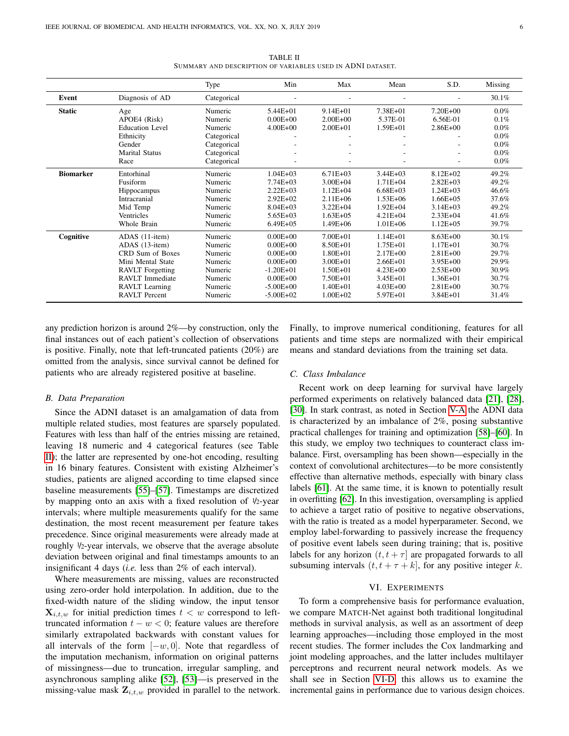<span id="page-5-1"></span>

|                  |                         | Type        | Min           | Max           | Mean         | S.D.          | Missing |
|------------------|-------------------------|-------------|---------------|---------------|--------------|---------------|---------|
| Event            | Diagnosis of AD         | Categorical |               |               |              |               | 30.1%   |
| <b>Static</b>    | Age                     | Numeric     | $5.44E + 01$  | $9.14E + 01$  | 7.38E+01     | $7.20E + 00$  | 0.0%    |
|                  | APOE4 (Risk)            | Numeric     | $0.00E + 00$  | $2.00E + 00$  | 5.37E-01     | 6.56E-01      | 0.1%    |
|                  | Education Level         | Numeric     | $4.00E + 00$  | $2.00E + 01$  | $1.59E + 01$ | $2.86E + 00$  | $0.0\%$ |
|                  | Ethnicity               | Categorical |               |               |              |               | 0.0%    |
|                  | Gender                  | Categorical |               |               |              |               | 0.0%    |
|                  | <b>Marital Status</b>   | Categorical |               |               |              |               | 0.0%    |
|                  | Race                    | Categorical |               |               |              |               | 0.0%    |
| <b>Biomarker</b> | Entorhinal              | Numeric     | $1.04E + 03$  | $6.71E + 0.3$ | $3.44E + 03$ | $8.12E + 02$  | 49.2%   |
|                  | Fusiform                | Numeric     | $7.74E + 03$  | $3.00E + 04$  | $1.71E + 04$ | $2.82E + 03$  | 49.2%   |
|                  | <b>Hippocampus</b>      | Numeric     | $2.22E + 03$  | $1.12E + 04$  | $6.68E + 03$ | $1.24E + 03$  | 46.6%   |
|                  | Intracranial            | Numeric     | $2.92E+02$    | $2.11E + 06$  | $1.53E + 06$ | $1.66E + 0.5$ | 37.6%   |
|                  | Mid Temp                | Numeric     | $8.04E + 03$  | $3.22E + 04$  | $1.92E + 04$ | $3.14E + 03$  | 49.2%   |
|                  | Ventricles              | Numeric     | $5.65E + 03$  | $1.63E + 0.5$ | $4.21E + 04$ | $2.33E + 04$  | 41.6%   |
|                  | Whole Brain             | Numeric     | $6.49E + 05$  | $1.49E + 06$  | $1.01E + 06$ | $1.12E + 0.5$ | 39.7%   |
| Cognitive        | ADAS (11-item)          | Numeric     | $0.00E + 00$  | $7.00E + 01$  | $1.14E + 01$ | $8.63E + 00$  | 30.1%   |
|                  | ADAS (13-item)          | Numeric     | $0.00E + 00$  | 8.50E+01      | $1.75E + 01$ | $1.17E + 01$  | 30.7%   |
|                  | CRD Sum of Boxes        | Numeric     | $0.00E + 00$  | $1.80E + 01$  | $2.17E + 00$ | $2.81E + 00$  | 29.7%   |
|                  | Mini Mental State       | Numeric     | $0.00E + 00$  | $3.00E + 01$  | $2.66E + 01$ | $3.95E + 00$  | 29.9%   |
|                  | <b>RAVLT</b> Forgetting | Numeric     | $-1.20E + 01$ | $1.50E + 01$  | $4.23E + 00$ | $2.53E + 00$  | 30.9%   |
|                  | <b>RAVLT</b> Immediate  | Numeric     | $0.00E + 00$  | 7.50E+01      | $3.45E + 01$ | $1.36E + 01$  | 30.7%   |
|                  | <b>RAVLT</b> Learning   | Numeric     | $-5.00E + 00$ | $1.40E + 01$  | $4.03E + 00$ | $2.81E + 00$  | 30.7%   |
|                  | <b>RAVLT</b> Percent    | Numeric     | $-5.00E + 02$ | $1.00E + 02$  | $5.97E + 01$ | 3.84E+01      | 31.4%   |

TABLE II SUMMARY AND DESCRIPTION OF VARIABLES USED IN ADNI DATASET.

any prediction horizon is around 2%—by construction, only the final instances out of each patient's collection of observations is positive. Finally, note that left-truncated patients (20%) are omitted from the analysis, since survival cannot be defined for patients who are already registered positive at baseline.

## *B. Data Preparation*

Since the ADNI dataset is an amalgamation of data from multiple related studies, most features are sparsely populated. Features with less than half of the entries missing are retained, leaving 18 numeric and 4 categorical features (see Table [II\)](#page-5-1); the latter are represented by one-hot encoding, resulting in 16 binary features. Consistent with existing Alzheimer's studies, patients are aligned according to time elapsed since baseline measurements [\[55\]](#page-11-30)–[\[57\]](#page-11-31). Timestamps are discretized by mapping onto an axis with a fixed resolution of  $1/2$ -year intervals; where multiple measurements qualify for the same destination, the most recent measurement per feature takes precedence. Since original measurements were already made at roughly <sup>1</sup>/2-year intervals, we observe that the average absolute deviation between original and final timestamps amounts to an insignificant 4 days (*i.e.* less than 2% of each interval).

Where measurements are missing, values are reconstructed using zero-order hold interpolation. In addition, due to the fixed-width nature of the sliding window, the input tensor  $\mathbf{X}_{i,t,w}$  for initial prediction times  $t < w$  correspond to lefttruncated information  $t - w < 0$ ; feature values are therefore similarly extrapolated backwards with constant values for all intervals of the form  $[-w, 0]$ . Note that regardless of the imputation mechanism, information on original patterns of missingness—due to truncation, irregular sampling, and asynchronous sampling alike [\[52\]](#page-11-27), [\[53\]](#page-11-28)—is preserved in the missing-value mask  $\mathbf{Z}_{i,t,w}$  provided in parallel to the network. Finally, to improve numerical conditioning, features for all patients and time steps are normalized with their empirical means and standard deviations from the training set data.

## <span id="page-5-2"></span>*C. Class Imbalance*

Recent work on deep learning for survival have largely performed experiments on relatively balanced data [\[21\]](#page-10-17), [\[28\]](#page-11-5), [\[30\]](#page-11-6). In stark contrast, as noted in Section [V-A](#page-4-1) the ADNI data is characterized by an imbalance of 2%, posing substantive practical challenges for training and optimization [\[58\]](#page-11-32)–[\[60\]](#page-11-33). In this study, we employ two techniques to counteract class imbalance. First, oversampling has been shown—especially in the context of convolutional architectures—to be more consistently effective than alternative methods, especially with binary class labels [\[61\]](#page-11-34). At the same time, it is known to potentially result in overfitting [\[62\]](#page-11-35). In this investigation, oversampling is applied to achieve a target ratio of positive to negative observations, with the ratio is treated as a model hyperparameter. Second, we employ label-forwarding to passively increase the frequency of positive event labels seen during training; that is, positive labels for any horizon  $(t, t + \tau)$  are propagated forwards to all subsuming intervals  $(t, t + \tau + k]$ , for any positive integer k.

## VI. EXPERIMENTS

<span id="page-5-0"></span>To form a comprehensive basis for performance evaluation, we compare MATCH-Net against both traditional longitudinal methods in survival analysis, as well as an assortment of deep learning approaches—including those employed in the most recent studies. The former includes the Cox landmarking and joint modeling approaches, and the latter includes multilayer perceptrons and recurrent neural network models. As we shall see in Section [VI-D,](#page-7-0) this allows us to examine the incremental gains in performance due to various design choices.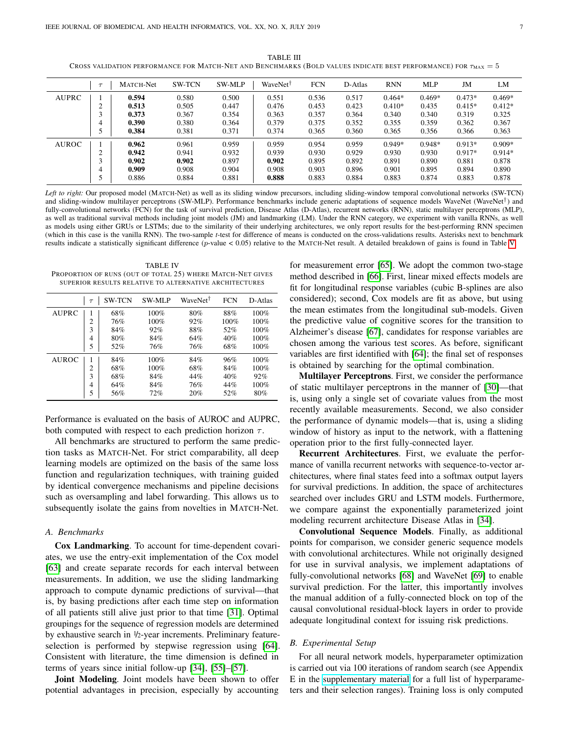TABLE III CROSS VALIDATION PERFORMANCE FOR MATCH-NET AND BENCHMARKS (BOLD VALUES INDICATE BEST PERFORMANCE) FOR  $\tau_{\text{MAX}} = 5$ 

<span id="page-6-0"></span>

|              | $\tau$ | MATCH-Net | <b>SW-TCN</b> | <b>SW-MLP</b> | WaveNet <sup>†</sup> | <b>FCN</b> | D-Atlas | <b>RNN</b> | <b>MLP</b> | JM       | LM       |
|--------------|--------|-----------|---------------|---------------|----------------------|------------|---------|------------|------------|----------|----------|
| <b>AUPRC</b> |        | 0.594     | 0.580         | 0.500         | 0.551                | 0.536      | 0.517   | $0.464*$   | $0.469*$   | $0.473*$ | $0.469*$ |
|              | 2      | 0.513     | 0.505         | 0.447         | 0.476                | 0.453      | 0.423   | $0.410*$   | 0.435      | $0.415*$ | $0.412*$ |
|              | 3      | 0.373     | 0.367         | 0.354         | 0.363                | 0.357      | 0.364   | 0.340      | 0.340      | 0.319    | 0.325    |
|              | 4      | 0.390     | 0.380         | 0.364         | 0.379                | 0.375      | 0.352   | 0.355      | 0.359      | 0.362    | 0.367    |
|              |        | 0.384     | 0.381         | 0.371         | 0.374                | 0.365      | 0.360   | 0.365      | 0.356      | 0.366    | 0.363    |
| <b>AUROC</b> |        | 0.962     | 0.961         | 0.959         | 0.959                | 0.954      | 0.959   | $0.949*$   | $0.948*$   | $0.913*$ | $0.909*$ |
|              | 2      | 0.942     | 0.941         | 0.932         | 0.939                | 0.930      | 0.929   | 0.930      | 0.930      | $0.917*$ | $0.914*$ |
|              | 3      | 0.902     | 0.902         | 0.897         | 0.902                | 0.895      | 0.892   | 0.891      | 0.890      | 0.881    | 0.878    |
|              | 4      | 0.909     | 0.908         | 0.904         | 0.908                | 0.903      | 0.896   | 0.901      | 0.895      | 0.894    | 0.890    |
|              | 5      | 0.886     | 0.884         | 0.881         | 0.888                | 0.883      | 0.884   | 0.883      | 0.874      | 0.883    | 0.878    |

*Left to right:* Our proposed model (MATCH-Net) as well as its sliding window precursors, including sliding-window temporal convolutional networks (SW-TCN) and sliding-window multilayer perceptrons (SW-MLP). Performance benchmarks include generic adaptations of sequence models WaveNet (WaveNet<sup>†</sup>) and fully-convolutional networks (FCN) for the task of survival prediction, Disease Atlas (D-Atlas), recurrent networks (RNN), static multilayer perceptrons (MLP), as well as traditional survival methods including joint models (JM) and landmarking (LM). Under the RNN category, we experiment with vanilla RNNs, as well as models using either GRUs or LSTMs; due to the similarity of their underlying architectures, we only report results for the best-performing RNN specimen (which in this case is the vanilla RNN). The two-sample *t*-test for difference of means is conducted on the cross-validations results. Asterisks next to benchmark results indicate a statistically significant difference (p-value < 0.05) relative to the MATCH-Net result. A detailed breakdown of gains is found in Table [V.](#page-7-1)

<span id="page-6-1"></span>TABLE IV PROPORTION OF RUNS (OUT OF TOTAL 25) WHERE MATCH-NET GIVES SUPERIOR RESULTS RELATIVE TO ALTERNATIVE ARCHITECTURES

|              | $\tau$         | <b>SW-TCN</b> | <b>SW-MLP</b> | WaveNet <sup>†</sup> | <b>FCN</b> | D-Atlas |
|--------------|----------------|---------------|---------------|----------------------|------------|---------|
| AUPRC        | 1              | 68%           | 100%          | 80%                  | 88%        | 100%    |
|              | 2              | 76%           | 100%          | 92%                  | 100%       | 100%    |
|              | 3              | 84%           | 92%           | 88%                  | 52%        | 100%    |
|              | 4              | 80%           | 84%           | 64%                  | 40%        | 100%    |
|              | 5              | 52%           | 76%           | 76%                  | 68%        | 100%    |
| <b>AUROC</b> |                | 84%           | 100%          | 84%                  | 96%        | 100%    |
|              | $\overline{c}$ | 68%           | 100%          | 68%                  | 84%        | 100%    |
|              | 3              | 68%           | 84%           | 44%                  | 40%        | 92%     |
|              | 4              | 64%           | 84%           | 76%                  | 44%        | 100%    |
|              | 5              | 56%           | 72%           | 20%                  | 52%        | 80%     |

Performance is evaluated on the basis of AUROC and AUPRC, both computed with respect to each prediction horizon  $\tau$ .

All benchmarks are structured to perform the same prediction tasks as MATCH-Net. For strict comparability, all deep learning models are optimized on the basis of the same loss function and regularization techniques, with training guided by identical convergence mechanisms and pipeline decisions such as oversampling and label forwarding. This allows us to subsequently isolate the gains from novelties in MATCH-Net.

#### *A. Benchmarks*

Cox Landmarking. To account for time-dependent covariates, we use the entry-exit implementation of the Cox model [\[63\]](#page-11-36) and create separate records for each interval between measurements. In addition, we use the sliding landmarking approach to compute dynamic predictions of survival—that is, by basing predictions after each time step on information of all patients still alive just prior to that time [\[31\]](#page-11-7). Optimal groupings for the sequence of regression models are determined by exhaustive search in <sup>1</sup>/2-year increments. Preliminary featureselection is performed by stepwise regression using [\[64\]](#page-11-37). Consistent with literature, the time dimension is defined in terms of years since initial follow-up [\[34\]](#page-11-11), [\[55\]](#page-11-30)–[\[57\]](#page-11-31).

Joint Modeling. Joint models have been shown to offer potential advantages in precision, especially by accounting

for measurement error [\[65\]](#page-11-38). We adopt the common two-stage method described in [\[66\]](#page-11-39). First, linear mixed effects models are fit for longitudinal response variables (cubic B-splines are also considered); second, Cox models are fit as above, but using the mean estimates from the longitudinal sub-models. Given the predictive value of cognitive scores for the transition to Alzheimer's disease [\[67\]](#page-11-40), candidates for response variables are chosen among the various test scores. As before, significant variables are first identified with [\[64\]](#page-11-37); the final set of responses is obtained by searching for the optimal combination.

Multilayer Perceptrons. First, we consider the performance of static multilayer perceptrons in the manner of [\[30\]](#page-11-6)—that is, using only a single set of covariate values from the most recently available measurements. Second, we also consider the performance of dynamic models—that is, using a sliding window of history as input to the network, with a flattening operation prior to the first fully-connected layer.

Recurrent Architectures. First, we evaluate the performance of vanilla recurrent networks with sequence-to-vector architectures, where final states feed into a softmax output layers for survival predictions. In addition, the space of architectures searched over includes GRU and LSTM models. Furthermore, we compare against the exponentially parameterized joint modeling recurrent architecture Disease Atlas in [\[34\]](#page-11-11).

Convolutional Sequence Models. Finally, as additional points for comparison, we consider generic sequence models with convolutional architectures. While not originally designed for use in survival analysis, we implement adaptations of fully-convolutional networks [\[68\]](#page-11-41) and WaveNet [\[69\]](#page-11-42) to enable survival prediction. For the latter, this importantly involves the manual addition of a fully-connected block on top of the causal convolutional residual-block layers in order to provide adequate longitudinal context for issuing risk predictions.

## <span id="page-6-2"></span>*B. Experimental Setup*

For all neural network models, hyperparameter optimization is carried out via 100 iterations of random search (see Appendix E in the [supplementary material](http://columbia.edu/~dkc2122/jbhi/supplementary.pdf) for a full list of hyperparameters and their selection ranges). Training loss is only computed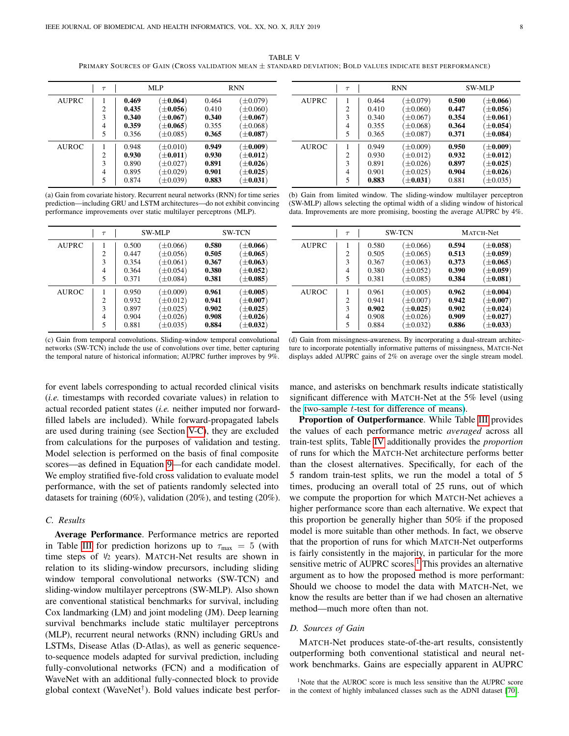TABLE V PRIMARY SOURCES OF GAIN (CROSS VALIDATION MEAN ± STANDARD DEVIATION; BOLD VALUES INDICATE BEST PERFORMANCE)

<span id="page-7-1"></span>

|              | $\tau$                             |                                           | MLP                                                                                       | <b>RNN</b>                                |                                                                                                    |  |
|--------------|------------------------------------|-------------------------------------------|-------------------------------------------------------------------------------------------|-------------------------------------------|----------------------------------------------------------------------------------------------------|--|
| AUPRC        | 2<br>3<br>4<br>5                   | 0.469<br>0.435<br>0.340<br>0.359<br>0.356 | $(\pm 0.064)$<br>$\pm 0.056$<br>$\left(\pm0.067\right)$<br>$(\pm 0.065)$<br>$(\pm 0.085)$ | 0.464<br>0.410<br>0.340<br>0.355<br>0.365 | $(\pm 0.079)$<br>$\pm 0.060$ )<br>$\left(\pm0.067\right)$<br>$(\pm 0.068)$<br>$(\pm 0.087)$        |  |
| <b>AUROC</b> | 1<br>$\overline{c}$<br>3<br>4<br>5 | 0.948<br>0.930<br>0.890<br>0.895<br>0.874 | $(\pm 0.010)$<br>$\left(\pm0.011\right)$<br>$\pm 0.027$<br>$\pm 0.029$<br>$(\pm 0.039)$   | 0.949<br>0.930<br>0.891<br>0.901<br>0.883 | $(\pm 0.009)$<br>$\left(\pm0.012\right)$<br>$\left(\pm0.026\right)$<br>$\pm 0.025$<br>$\pm$ 0.031) |  |

(a) Gain from covariate history. Recurrent neural networks (RNN) for time series prediction—including GRU and LSTM architectures—do not exhibit convincing performance improvements over static multilayer perceptrons (MLP).

|              | $\tau$         |       | <b>SW-MLP</b> |       | <b>SW-TCN</b>           |
|--------------|----------------|-------|---------------|-------|-------------------------|
| AUPRC        | 1              | 0.500 | $(\pm 0.066)$ | 0.580 | $\pm 0.066$             |
|              | $\overline{c}$ | 0.447 | $\pm 0.056$   | 0.505 | $\pm 0.065$             |
|              | 3              | 0.354 | $\pm 0.061$   | 0.367 | $\pm 0.063$             |
|              | $\overline{4}$ | 0.364 | $\pm 0.054$   | 0.380 | $\pm 0.052$             |
|              | 5              | 0.371 | $(\pm 0.084)$ | 0.381 | $\pm 0.085$             |
| <b>AUROC</b> |                | 0.950 | $(\pm 0.009)$ | 0.961 | $\pm 0.005$             |
|              | $\overline{c}$ | 0.932 | $(\pm 0.012)$ | 0.941 | $\left(\pm0.007\right)$ |
|              | 3              | 0.897 | $\pm 0.025$   | 0.902 | $\pm 0.025$             |
|              | 4              | 0.904 | $\pm 0.026$   | 0.908 | $\pm 0.026$             |
|              | 5              | 0.881 | $\pm 0.035$   | 0.884 | $\pm 0.032$             |

 $\tau$  | RNN SW-MLP AUPRC | 1 | 0.464  $(\pm 0.079)$  0.500  $(\pm 0.066)$ 2 0.410  $(\pm 0.060)$  0.447  $(\pm 0.056)$ <br>3 0.340  $(\pm 0.067)$  0.354  $(\pm 0.061)$  $(\pm 0.067)$  0.354  $(\pm 0.061)$ 4 0.355  $(+0.068)$  0.364  $(+0.054)$ 5 | 0.365  $(\pm 0.087)$  0.371  $(\pm 0.084)$ AUROC | 1 | 0.949 (±0.009) 0.950 (±0.009)  $\begin{array}{c|cccc} 2 & 0.930 & (\pm 0.012) & \mathbf{0.932} & (\pm 0.012) \\ 3 & 0.891 & (\pm 0.026) & \mathbf{0.897} & (\pm 0.025) \end{array}$  $\begin{array}{c|cc}\n3 & 0.891 & (\pm 0.026) & 0.897 & (\pm 0.025) \\
4 & 0.901 & (\pm 0.025) & 0.904 & (\pm 0.026)\n\end{array}$  $(+0.025)$  0.904  $(+0.026)$ 5 | **0.883**  $(\pm 0.031)$  0.881  $(\pm 0.035)$ 

(b) Gain from limited window. The sliding-window multilayer perceptron (SW-MLP) allows selecting the optimal width of a sliding window of historical data. Improvements are more promising, boosting the average AUPRC by 4%.

|              | $\tau$         |       | <b>SW-TCN</b> | <b>MATCH-Net</b> |                         |  |
|--------------|----------------|-------|---------------|------------------|-------------------------|--|
| <b>AUPRC</b> |                | 0.580 | $(\pm 0.066)$ | 0.594            | $(\pm 0.058)$           |  |
|              | $\overline{c}$ | 0.505 | $\pm 0.065$   | 0.513            | $\left(\pm0.059\right)$ |  |
|              | 3              | 0.367 | $\pm 0.063$   | 0.373            | $\left(\pm0.065\right)$ |  |
|              | 4              | 0.380 | $\pm 0.052$   | 0.390            | $\left(\pm0.059\right)$ |  |
|              | 5              | 0.381 | $\pm 0.085$   | 0.384            | $(\pm 0.081)$           |  |
| <b>AUROC</b> |                | 0.961 | $\pm 0.005$   | 0.962            | $(\pm 0.004)$           |  |
|              | $\overline{c}$ | 0.941 | $\pm 0.007$   | 0.942            | $\left(\pm0.007\right)$ |  |
|              | 3              | 0.902 | $\pm 0.025$ ) | 0.902            | $(\pm 0.024)$           |  |
|              | 4              | 0.908 | $\pm 0.026$   | 0.909            | $\left(\pm0.027\right)$ |  |
|              | 5              | 0.884 | $\pm 0.032$   | 0.886            | $(\pm 0.033)$           |  |

(c) Gain from temporal convolutions. Sliding-window temporal convolutional networks (SW-TCN) include the use of convolutions over time, better capturing the temporal nature of historical information; AUPRC further improves by 9%.

for event labels corresponding to actual recorded clinical visits (*i.e.* timestamps with recorded covariate values) in relation to actual recorded patient states (*i.e.* neither imputed nor forwardfilled labels are included). While forward-propagated labels are used during training (see Section [V-C\)](#page-5-2), they are excluded from calculations for the purposes of validation and testing. Model selection is performed on the basis of final composite scores—as defined in Equation [9—](#page-4-2)for each candidate model. We employ stratified five-fold cross validation to evaluate model performance, with the set of patients randomly selected into datasets for training (60%), validation (20%), and testing (20%).

# *C. Results*

Average Performance. Performance metrics are reported in Table [III](#page-6-0) for prediction horizons up to  $\tau_{\text{max}} = 5$  (with time steps of <sup>1</sup>/<sup>2</sup> years). MATCH-Net results are shown in relation to its sliding-window precursors, including sliding window temporal convolutional networks (SW-TCN) and sliding-window multilayer perceptrons (SW-MLP). Also shown are conventional statistical benchmarks for survival, including Cox landmarking (LM) and joint modeling (JM). Deep learning survival benchmarks include static multilayer perceptrons (MLP), recurrent neural networks (RNN) including GRUs and LSTMs, Disease Atlas (D-Atlas), as well as generic sequenceto-sequence models adapted for survival prediction, including fully-convolutional networks (FCN) and a modification of WaveNet with an additional fully-connected block to provide global context (WaveNet† ). Bold values indicate best perfor-

(d) Gain from missingness-awareness. By incorporating a dual-stream architecture to incorporate potentially informative patterns of missingness, MATCH-Net displays added AUPRC gains of 2% on average over the single stream model.

mance, and asterisks on benchmark results indicate statistically significant difference with MATCH-Net at the 5% level (using the two-sample  $t$ [-test for difference of means\)](https://docs.scipy.org/doc/scipy/reference/stats.html).

Proportion of Outperformance. While Table [III](#page-6-0) provides the values of each performance metric *averaged* across all train-test splits, Table [IV](#page-6-1) additionally provides the *proportion* of runs for which the MATCH-Net architecture performs better than the closest alternatives. Specifically, for each of the 5 random train-test splits, we run the model a total of 5 times, producing an overall total of 25 runs, out of which we compute the proportion for which MATCH-Net achieves a higher performance score than each alternative. We expect that this proportion be generally higher than 50% if the proposed model is more suitable than other methods. In fact, we observe that the proportion of runs for which MATCH-Net outperforms is fairly consistently in the majority, in particular for the more sensitive metric of AUPRC scores.<sup>[1](#page-7-2)</sup> This provides an alternative argument as to how the proposed method is more performant: Should we choose to model the data with MATCH-Net, we know the results are better than if we had chosen an alternative method—much more often than not.

#### <span id="page-7-0"></span>*D. Sources of Gain*

MATCH-Net produces state-of-the-art results, consistently outperforming both conventional statistical and neural network benchmarks. Gains are especially apparent in AUPRC

<span id="page-7-2"></span><sup>1</sup>Note that the AUROC score is much less sensitive than the AUPRC score in the context of highly imbalanced classes such as the ADNI dataset [\[70\]](#page-11-43).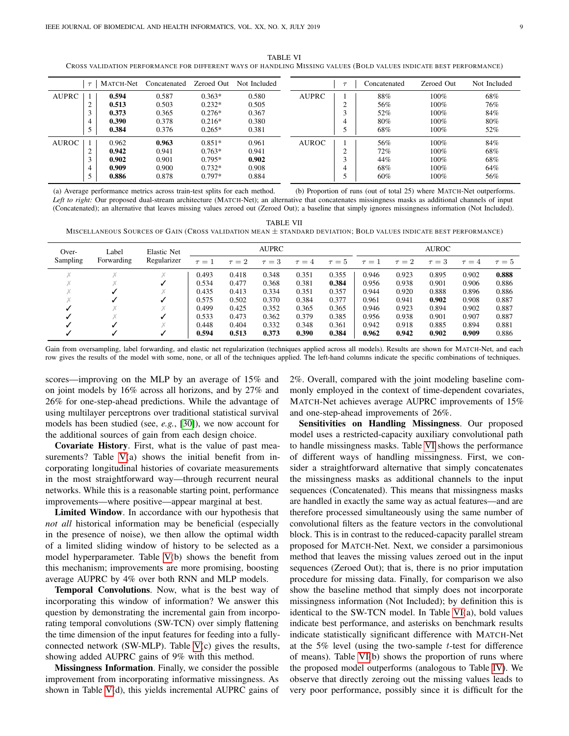TABLE VI CROSS VALIDATION PERFORMANCE FOR DIFFERENT WAYS OF HANDLING MISSING VALUES (BOLD VALUES INDICATE BEST PERFORMANCE)

<span id="page-8-0"></span>

|              | $\tau$ | <b>MATCH-Net</b> | Concatenated | Zeroed Out | Not Included |              | Concatenated | Zeroed Out | Not Included |
|--------------|--------|------------------|--------------|------------|--------------|--------------|--------------|------------|--------------|
| <b>AUPRC</b> |        | 0.594            | 0.587        | $0.363*$   | 0.580        | AUPRC        | 88%          | 100%       | 68%          |
|              | ◠      | 0.513            | 0.503        | $0.232*$   | 0.505        |              | 56%          | 100%       | 76%          |
|              | ◠      | 0.373            | 0.365        | $0.276*$   | 0.367        |              | 52%          | 100%       | 84%          |
|              | 4      | 0.390            | 0.378        | $0.216*$   | 0.380        |              | 80%          | 100%       | 80%          |
|              |        | 0.384            | 0.376        | $0.265*$   | 0.381        |              | 68%          | 100%       | 52%          |
| <b>AUROC</b> |        | 0.962            | 0.963        | $0.851*$   | 0.961        | <b>AUROC</b> | 56%          | 100%       | 84%          |
|              | ◠      | 0.942            | 0.941        | $0.763*$   | 0.941        |              | 72%          | 100%       | 68%          |
|              | ◠      | 0.902            | 0.901        | $0.795*$   | 0.902        |              | 44%          | 100%       | 68%          |
|              | 4      | 0.909            | 0.900        | $0.732*$   | 0.908        |              | 68%          | 100%       | 64%          |
|              |        | 0.886            | 0.878        | $0.797*$   | 0.884        |              | 60%          | 100%       | 56%          |

(a) Average performance metrics across train-test splits for each method. (b) Proportion of runs (out of total 25) where MATCH-Net outperforms. *Left to right:* Our proposed dual-stream architecture (MATCH-Net); an alternative that concatenates missingness masks as additional channels of input (Concatenated); an alternative that leaves missing values zeroed out (Zeroed Out); a baseline that simply ignores missingness information (Not Included).

TABLE VII MISCELLANEOUS SOURCES OF GAIN (CROSS VALIDATION MEAN ± STANDARD DEVIATION; BOLD VALUES INDICATE BEST PERFORMANCE)

<span id="page-8-1"></span>

| Label<br>Over- |                           | Elastic Net | AUPRC      |            |                 |            |          | <b>AUROC</b> |            |            |            |            |
|----------------|---------------------------|-------------|------------|------------|-----------------|------------|----------|--------------|------------|------------|------------|------------|
| Sampling       | Regularizer<br>Forwarding |             | $\tau = 1$ | $\tau = 2$ | $=$ 3<br>$\tau$ | $\tau = 4$ | $\tau=5$ | $\tau = 1$   | $\tau = 2$ | $\tau = 3$ | $\tau = 4$ | $\tau = 5$ |
| Χ              | $\mathcal{A}$             | Χ           | 0.493      | 0.418      | 0.348           | 0.351      | 0.355    | 0.946        | 0.923      | 0.895      | 0.902      | 0.888      |
|                |                           |             | 0.534      | 0.477      | 0.368           | 0.381      | 0.384    | 0.956        | 0.938      | 0.901      | 0.906      | 0.886      |
|                |                           |             | 0.435      | 0.413      | 0.334           | 0.351      | 0.357    | 0.944        | 0.920      | 0.888      | 0.896      | 0.886      |
|                |                           |             | 0.575      | 0.502      | 0.370           | 0.384      | 0.377    | 0.961        | 0.941      | 0.902      | 0.908      | 0.887      |
|                |                           | Χ           | 0.499      | 0.425      | 0.352           | 0.365      | 0.365    | 0.946        | 0.923      | 0.894      | 0.902      | 0.887      |
|                |                           |             | 0.533      | 0.473      | 0.362           | 0.379      | 0.385    | 0.956        | 0.938      | 0.901      | 0.907      | 0.887      |
|                |                           |             | 0.448      | 0.404      | 0.332           | 0.348      | 0.361    | 0.942        | 0.918      | 0.885      | 0.894      | 0.881      |
|                |                           |             | 0.594      | 0.513      | 0.373           | 0.390      | 0.384    | 0.962        | 0.942      | 0.902      | 0.909      | 0.886      |

Gain from oversampling, label forwarding, and elastic net regularization (techniques applied across all models). Results are shown for MATCH-Net, and each row gives the results of the model with some, none, or all of the techniques applied. The left-hand columns indicate the specific combinations of techniques.

scores—improving on the MLP by an average of 15% and on joint models by 16% across all horizons, and by 27% and 26% for one-step-ahead predictions. While the advantage of using multilayer perceptrons over traditional statistical survival models has been studied (see, *e.g.*, [\[30\]](#page-11-6)), we now account for the additional sources of gain from each design choice.

Covariate History. First, what is the value of past mea-surements? Table [V\(](#page-7-1)a) shows the initial benefit from incorporating longitudinal histories of covariate measurements in the most straightforward way—through recurrent neural networks. While this is a reasonable starting point, performance improvements—where positive—appear marginal at best.

Limited Window. In accordance with our hypothesis that *not all* historical information may be beneficial (especially in the presence of noise), we then allow the optimal width of a limited sliding window of history to be selected as a model hyperparameter. Table [V\(](#page-7-1)b) shows the benefit from this mechanism; improvements are more promising, boosting average AUPRC by 4% over both RNN and MLP models.

Temporal Convolutions. Now, what is the best way of incorporating this window of information? We answer this question by demonstrating the incremental gain from incorporating temporal convolutions (SW-TCN) over simply flattening the time dimension of the input features for feeding into a fullyconnected network (SW-MLP). Table [V\(](#page-7-1)c) gives the results, showing added AUPRC gains of 9% with this method.

Missingness Information. Finally, we consider the possible improvement from incorporating informative missingness. As shown in Table  $V(d)$ , this yields incremental AUPRC gains of 2%. Overall, compared with the joint modeling baseline commonly employed in the context of time-dependent covariates, MATCH-Net achieves average AUPRC improvements of 15% and one-step-ahead improvements of 26%.

Sensitivities on Handling Missingness. Our proposed model uses a restricted-capacity auxiliary convolutional path to handle missingness masks. Table [VI](#page-8-0) shows the performance of different ways of handling missingness. First, we consider a straightforward alternative that simply concatenates the missingness masks as additional channels to the input sequences (Concatenated). This means that missingness masks are handled in exactly the same way as actual features—and are therefore processed simultaneously using the same number of convolutional filters as the feature vectors in the convolutional block. This is in contrast to the reduced-capacity parallel stream proposed for MATCH-Net. Next, we consider a parsimonious method that leaves the missing values zeroed out in the input sequences (Zeroed Out); that is, there is no prior imputation procedure for missing data. Finally, for comparison we also show the baseline method that simply does not incorporate missingness information (Not Included); by definition this is identical to the SW-TCN model. In Table [VI\(](#page-8-0)a), bold values indicate best performance, and asterisks on benchmark results indicate statistically significant difference with MATCH-Net at the  $5\%$  level (using the two-sample t-test for difference of means). Table [VI\(](#page-8-0)b) shows the proportion of runs where the proposed model outperforms (analogous to Table [IV\)](#page-6-1). We observe that directly zeroing out the missing values leads to very poor performance, possibly since it is difficult for the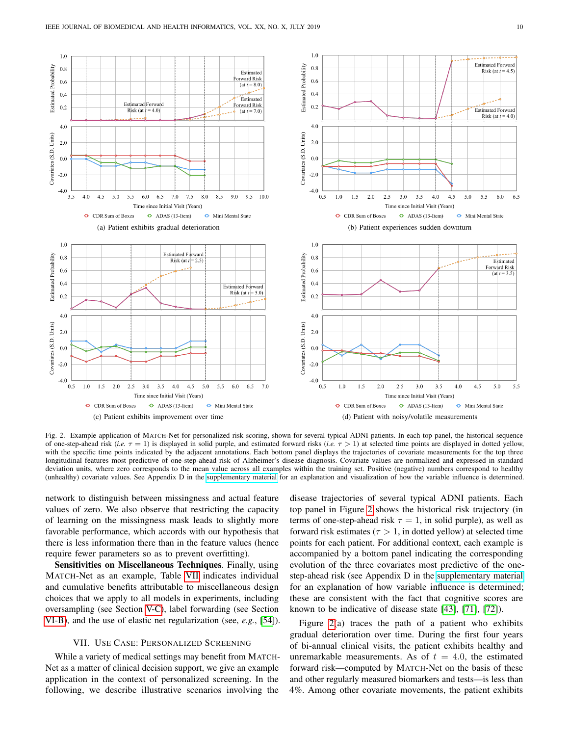

<span id="page-9-1"></span>Fig. 2. Example application of MATCH-Net for personalized risk scoring, shown for several typical ADNI patients. In each top panel, the historical sequence of one-step-ahead risk (*i.e.*  $\tau = 1$ ) is displayed in solid purple, and estimated forward risks (*i.e.*  $\tau > 1$ ) at selected time points are displayed in dotted yellow, with the specific time points indicated by the adjacent annotations. Each bottom panel displays the trajectories of covariate measurements for the top three longitudinal features most predictive of one-step-ahead risk of Alzheimer's disease diagnosis. Covariate values are normalized and expressed in standard deviation units, where zero corresponds to the mean value across all examples within the training set. Positive (negative) numbers correspond to healthy (unhealthy) covariate values. See Appendix D in the [supplementary material](http://columbia.edu/~dkc2122/jbhi/supplementary.pdf) for an explanation and visualization of how the variable influence is determined.

network to distinguish between missingness and actual feature values of zero. We also observe that restricting the capacity of learning on the missingness mask leads to slightly more favorable performance, which accords with our hypothesis that there is less information there than in the feature values (hence require fewer parameters so as to prevent overfitting).

Sensitivities on Miscellaneous Techniques. Finally, using MATCH-Net as an example, Table [VII](#page-8-1) indicates individual and cumulative benefits attributable to miscellaneous design choices that we apply to all models in experiments, including oversampling (see Section [V-C\)](#page-5-2), label forwarding (see Section [VI-B\)](#page-6-2), and the use of elastic net regularization (see, *e.g.*, [\[54\]](#page-11-29)).

#### VII. USE CASE: PERSONALIZED SCREENING

<span id="page-9-0"></span>While a variety of medical settings may benefit from MATCH-Net as a matter of clinical decision support, we give an example application in the context of personalized screening. In the following, we describe illustrative scenarios involving the

disease trajectories of several typical ADNI patients. Each top panel in Figure [2](#page-9-1) shows the historical risk trajectory (in terms of one-step-ahead risk  $\tau = 1$ , in solid purple), as well as forward risk estimates ( $\tau > 1$ , in dotted yellow) at selected time points for each patient. For additional context, each example is accompanied by a bottom panel indicating the corresponding evolution of the three covariates most predictive of the onestep-ahead risk (see Appendix D in the [supplementary material](http://columbia.edu/~dkc2122/jbhi/supplementary.pdf) for an explanation of how variable influence is determined; these are consistent with the fact that cognitive scores are known to be indicative of disease state [\[43\]](#page-11-20), [\[71\]](#page-11-44), [\[72\]](#page-11-45)).

Figure [2\(](#page-9-1)a) traces the path of a patient who exhibits gradual deterioration over time. During the first four years of bi-annual clinical visits, the patient exhibits healthy and unremarkable measurements. As of  $t = 4.0$ , the estimated forward risk—computed by MATCH-Net on the basis of these and other regularly measured biomarkers and tests—is less than 4%. Among other covariate movements, the patient exhibits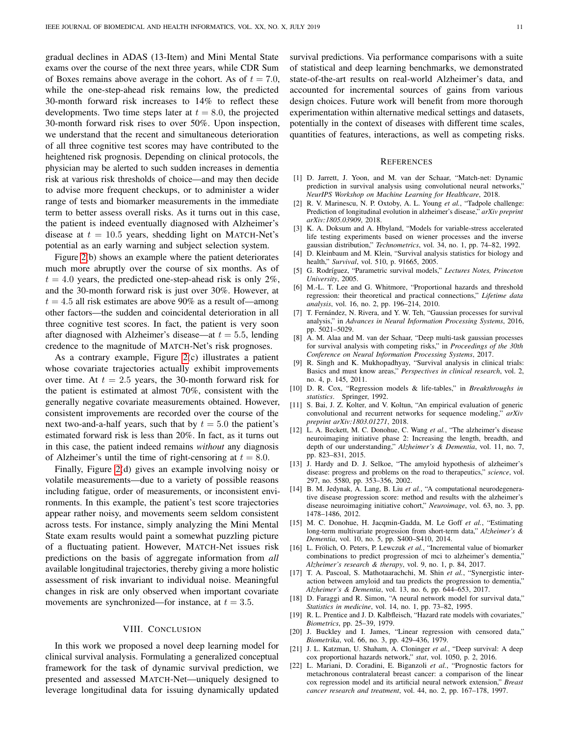gradual declines in ADAS (13-Item) and Mini Mental State exams over the course of the next three years, while CDR Sum of Boxes remains above average in the cohort. As of  $t = 7.0$ , while the one-step-ahead risk remains low, the predicted 30-month forward risk increases to 14% to reflect these developments. Two time steps later at  $t = 8.0$ , the projected 30-month forward risk rises to over 50%. Upon inspection, we understand that the recent and simultaneous deterioration of all three cognitive test scores may have contributed to the heightened risk prognosis. Depending on clinical protocols, the physician may be alerted to such sudden increases in dementia risk at various risk thresholds of choice—and may then decide to advise more frequent checkups, or to administer a wider range of tests and biomarker measurements in the immediate term to better assess overall risks. As it turns out in this case, the patient is indeed eventually diagnosed with Alzheimer's disease at  $t = 10.5$  years, shedding light on MATCH-Net's potential as an early warning and subject selection system.

Figure [2\(](#page-9-1)b) shows an example where the patient deteriorates much more abruptly over the course of six months. As of  $t = 4.0$  years, the predicted one-step-ahead risk is only 2%, and the 30-month forward risk is just over 30%. However, at  $t = 4.5$  all risk estimates are above 90% as a result of—among other factors—the sudden and coincidental deterioration in all three cognitive test scores. In fact, the patient is very soon after diagnosed with Alzheimer's disease—at  $t = 5.5$ , lending credence to the magnitude of MATCH-Net's risk prognoses.

As a contrary example, Figure [2\(](#page-9-1)c) illustrates a patient whose covariate trajectories actually exhibit improvements over time. At  $t = 2.5$  years, the 30-month forward risk for the patient is estimated at almost 70%, consistent with the generally negative covariate measurements obtained. However, consistent improvements are recorded over the course of the next two-and-a-half years, such that by  $t = 5.0$  the patient's estimated forward risk is less than 20%. In fact, as it turns out in this case, the patient indeed remains *without* any diagnosis of Alzheimer's until the time of right-censoring at  $t = 8.0$ .

Finally, Figure [2\(](#page-9-1)d) gives an example involving noisy or volatile measurements—due to a variety of possible reasons including fatigue, order of measurements, or inconsistent environments. In this example, the patient's test score trajectories appear rather noisy, and movements seem seldom consistent across tests. For instance, simply analyzing the Mini Mental State exam results would paint a somewhat puzzling picture of a fluctuating patient. However, MATCH-Net issues risk predictions on the basis of aggregate information from *all* available longitudinal trajectories, thereby giving a more holistic assessment of risk invariant to individual noise. Meaningful changes in risk are only observed when important covariate movements are synchronized—for instance, at  $t = 3.5$ .

# VIII. CONCLUSION

<span id="page-10-13"></span>In this work we proposed a novel deep learning model for clinical survival analysis. Formulating a generalized conceptual framework for the task of dynamic survival prediction, we presented and assessed MATCH-Net—uniquely designed to leverage longitudinal data for issuing dynamically updated

survival predictions. Via performance comparisons with a suite of statistical and deep learning benchmarks, we demonstrated state-of-the-art results on real-world Alzheimer's data, and accounted for incremental sources of gains from various design choices. Future work will benefit from more thorough experimentation within alternative medical settings and datasets, potentially in the context of diseases with different time scales, quantities of features, interactions, as well as competing risks.

#### **REFERENCES**

- <span id="page-10-0"></span>[1] D. Jarrett, J. Yoon, and M. van der Schaar, "Match-net: Dynamic prediction in survival analysis using convolutional neural networks," *NeurIPS Workshop on Machine Learning for Healthcare*, 2018.
- <span id="page-10-1"></span>[2] R. V. Marinescu, N. P. Oxtoby, A. L. Young *et al.*, "Tadpole challenge: Prediction of longitudinal evolution in alzheimer's disease," *arXiv preprint arXiv:1805.03909*, 2018.
- <span id="page-10-2"></span>[3] K. A. Doksum and A. Hbyland, "Models for variable-stress accelerated life testing experiments based on wiener processes and the inverse gaussian distribution," *Technometrics*, vol. 34, no. 1, pp. 74–82, 1992.
- [4] D. Kleinbaum and M. Klein, "Survival analysis statistics for biology and health," *Survival*, vol. 510, p. 91665, 2005.
- [5] G. Rodríguez, "Parametric survival models," *Lectures Notes, Princeton University*, 2005.
- [6] M.-L. T. Lee and G. Whitmore, "Proportional hazards and threshold regression: their theoretical and practical connections," *Lifetime data analysis*, vol. 16, no. 2, pp. 196–214, 2010.
- [7] T. Fernández, N. Rivera, and Y. W. Teh, "Gaussian processes for survival analysis," in *Advances in Neural Information Processing Systems*, 2016, pp. 5021–5029.
- <span id="page-10-3"></span>[8] A. M. Alaa and M. van der Schaar, "Deep multi-task gaussian processes for survival analysis with competing risks," in *Proceedings of the 30th Conference on Neural Information Processing Systems*, 2017.
- <span id="page-10-4"></span>[9] R. Singh and K. Mukhopadhyay, "Survival analysis in clinical trials: Basics and must know areas," *Perspectives in clinical research*, vol. 2, no. 4, p. 145, 2011.
- <span id="page-10-5"></span>[10] D. R. Cox, "Regression models & life-tables," in *Breakthroughs in statistics*. Springer, 1992.
- <span id="page-10-6"></span>[11] S. Bai, J. Z. Kolter, and V. Koltun, "An empirical evaluation of generic convolutional and recurrent networks for sequence modeling," *arXiv preprint arXiv:1803.01271*, 2018.
- <span id="page-10-7"></span>[12] L. A. Beckett, M. C. Donohue, C. Wang *et al.*, "The alzheimer's disease neuroimaging initiative phase 2: Increasing the length, breadth, and depth of our understanding," *Alzheimer's & Dementia*, vol. 11, no. 7, pp. 823–831, 2015.
- <span id="page-10-8"></span>[13] J. Hardy and D. J. Selkoe, "The amyloid hypothesis of alzheimer's disease: progress and problems on the road to therapeutics," *science*, vol. 297, no. 5580, pp. 353–356, 2002.
- <span id="page-10-9"></span>[14] B. M. Jedynak, A. Lang, B. Liu *et al.*, "A computational neurodegenerative disease progression score: method and results with the alzheimer's disease neuroimaging initiative cohort," *Neuroimage*, vol. 63, no. 3, pp. 1478–1486, 2012.
- <span id="page-10-10"></span>[15] M. C. Donohue, H. Jacqmin-Gadda, M. Le Goff *et al.*, "Estimating long-term multivariate progression from short-term data," *Alzheimer's & Dementia*, vol. 10, no. 5, pp. S400–S410, 2014.
- <span id="page-10-11"></span>[16] L. Frölich, O. Peters, P. Lewczuk *et al.*, "Incremental value of biomarker combinations to predict progression of mci to alzheimer's dementia," *Alzheimer's research & therapy*, vol. 9, no. 1, p. 84, 2017.
- <span id="page-10-12"></span>[17] T. A. Pascoal, S. Mathotaarachchi, M. Shin *et al.*, "Synergistic interaction between amyloid and tau predicts the progression to dementia," *Alzheimer's & Dementia*, vol. 13, no. 6, pp. 644–653, 2017.
- <span id="page-10-14"></span>[18] D. Faraggi and R. Simon, "A neural network model for survival data," *Statistics in medicine*, vol. 14, no. 1, pp. 73–82, 1995.
- <span id="page-10-15"></span>[19] R. L. Prentice and J. D. Kalbfleisch, "Hazard rate models with covariates," *Biometrics*, pp. 25–39, 1979.
- <span id="page-10-16"></span>[20] J. Buckley and I. James, "Linear regression with censored data," *Biometrika*, vol. 66, no. 3, pp. 429–436, 1979.
- <span id="page-10-17"></span>[21] J. L. Katzman, U. Shaham, A. Cloninger *et al.*, "Deep survival: A deep cox proportional hazards network," *stat*, vol. 1050, p. 2, 2016.
- <span id="page-10-18"></span>[22] L. Mariani, D. Coradini, E. Biganzoli *et al.*, "Prognostic factors for metachronous contralateral breast cancer: a comparison of the linear cox regression model and its artificial neural network extension," *Breast cancer research and treatment*, vol. 44, no. 2, pp. 167–178, 1997.